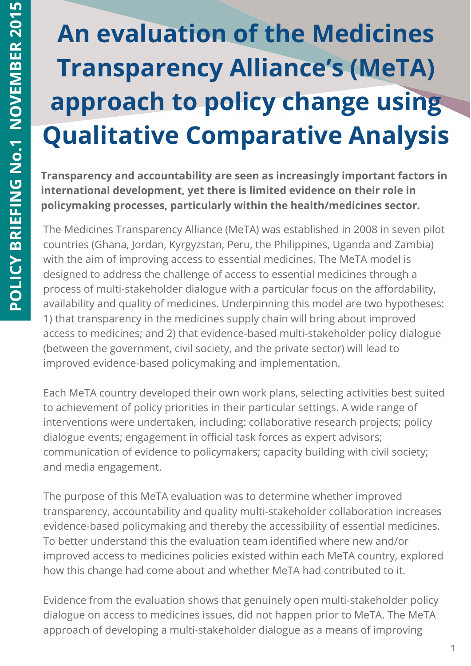# **An evaluation of the Medicines Transparency Alliance's (MeTA) approach to policy change using Qualitative Comparative Analysis**

**Transparency and accountability are seen as increasingly important factors in international development, yet there is limited evidence on their role in policymaking processes, particularly within the health/medicines sector.**

The Medicines Transparency Alliance (MeTA) was established in 2008 in seven pilot countries (Ghana, Jordan, Kyrgyzstan, Peru, the Philippines, Uganda and Zambia) with the aim of improving access to essential medicines. The MeTA model is designed to address the challenge of access to essential medicines through a process of multi-stakeholder dialogue with a particular focus on the affordability, availability and quality of medicines. Underpinning this model are two hypotheses: 1) that transparency in the medicines supply chain will bring about improved access to medicines; and 2) that evidence-based multi-stakeholder policy dialogue (between the government, civil society, and the private sector) will lead to improved evidence-based policymaking and implementation.

Each MeTA country developed their own work plans, selecting activities best suited to achievement of policy priorities in their particular settings. A wide range of interventions were undertaken, including: collaborative research projects; policy dialogue events; engagement in official task forces as expert advisors; communication of evidence to policymakers; capacity building with civil society; and media engagement.

The purpose of this MeTA evaluation was to determine whether improved transparency, accountability and quality multi-stakeholder collaboration increases evidence-based policymaking and thereby the accessibility of essential medicines. To better understand this the evaluation team identified where new and/or improved access to medicines policies existed within each MeTA country, explored how this change had come about and whether MeTA had contributed to it.

Evidence from the evaluation shows that genuinely open multi-stakeholder policy dialogue on access to medicines issues, did not happen prior to MeTA. The MeTA approach of developing a multi-stakeholder dialogue as a means of improving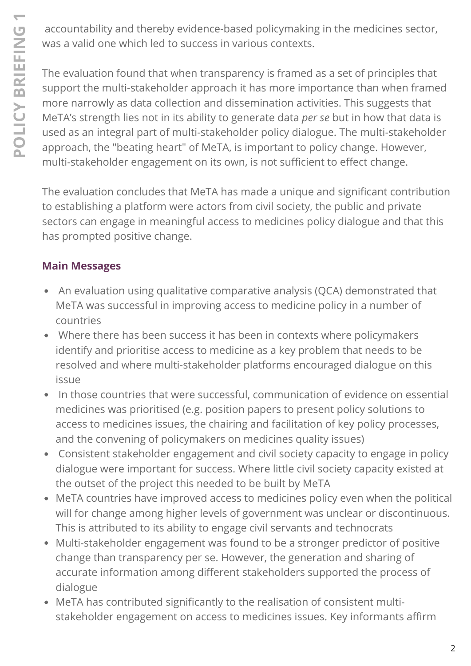accountability and thereby evidence-based policymaking in the medicines sector, was a valid one which led to success in various contexts.

 approach, the "beating heart" of MeTA, is important to policy change. However, The evaluation found that when transparency is framed as a set of principles that support the multi-stakeholder approach it has more importance than when framed more narrowly as data collection and dissemination activities. This suggests that MeTA's strength lies not in its ability to generate data *per se* but in how that data is used as an integral part of multi-stakeholder policy dialogue. The multi-stakeholder multi-stakeholder engagement on its own, is not sufficient to effect change.

The evaluation concludes that MeTA has made a unique and significant contribution to establishing a platform were actors from civil society, the public and private sectors can engage in meaningful access to medicines policy dialogue and that this has prompted positive change.

## **Main Messages**

- An evaluation using qualitative comparative analysis (QCA) demonstrated that MeTA was successful in improving access to medicine policy in a number of countries
- Where there has been success it has been in contexts where policymakers identify and prioritise access to medicine as a key problem that needs to be resolved and where multi-stakeholder platforms encouraged dialogue on this issue
- In those countries that were successful, communication of evidence on essential medicines was prioritised (e.g. position papers to present policy solutions to access to medicines issues, the chairing and facilitation of key policy processes, and the convening of policymakers on medicines quality issues)
- Consistent stakeholder engagement and civil society capacity to engage in policy dialogue were important for success. Where little civil society capacity existed at the outset of the project this needed to be built by MeTA
- MeTA countries have improved access to medicines policy even when the political will for change among higher levels of government was unclear or discontinuous. This is attributed to its ability to engage civil servants and technocrats
- Multi-stakeholder engagement was found to be a stronger predictor of positive change than transparency per se. However, the generation and sharing of accurate information among different stakeholders supported the process of dialogue
- MeTA has contributed significantly to the realisation of consistent multistakeholder engagement on access to medicines issues. Key informants affirm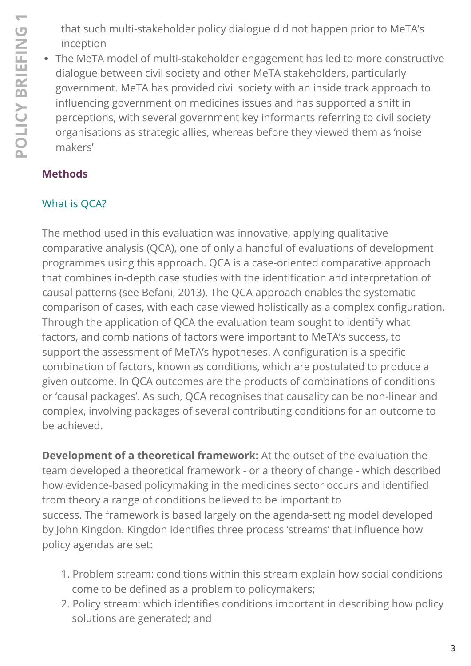that such multi-stakeholder policy dialogue did not happen prior to MeTA's inception

The MeTA model of multi-stakeholder engagement has led to more constructive dialogue between civil society and other MeTA stakeholders, particularly government. MeTA has provided civil society with an inside track approach to influencing government on medicines issues and has supported a shift in perceptions, with several government key informants referring to civil society organisations as strategic allies, whereas before they viewed them as 'noise makers'

## **Methods**

## What is QCA?

The method used in this evaluation was innovative, applying qualitative comparative analysis (QCA), one of only a handful of evaluations of development programmes using this approach. QCA is a case-oriented comparative approach that combines in-depth case studies with the identification and interpretation of causal patterns (see Befani, 2013). The QCA approach enables the systematic comparison of cases, with each case viewed holistically as a complex configuration. Through the application of QCA the evaluation team sought to identify what factors, and combinations of factors were important to MeTA's success, to support the assessment of MeTA's hypotheses. A configuration is a specific combination of factors, known as conditions, which are postulated to produce a given outcome. In QCA outcomes are the products of combinations of conditions or 'causal packages'. As such, QCA recognises that causality can be non-linear and complex, involving packages of several contributing conditions for an outcome to be achieved.

**Development of a theoretical framework:** At the outset of the evaluation the team developed a theoretical framework - or a theory of change - which described how evidence-based policymaking in the medicines sector occurs and identified from theory a range of conditions believed to be important to success. The framework is based largely on the agenda-setting model developed by John Kingdon. Kingdon identifies three process 'streams' that influence how policy agendas are set:

- 1. Problem stream: conditions within this stream explain how social conditions come to be defined as a problem to policymakers;
- 2. Policy stream: which identifies conditions important in describing how policy solutions are generated; and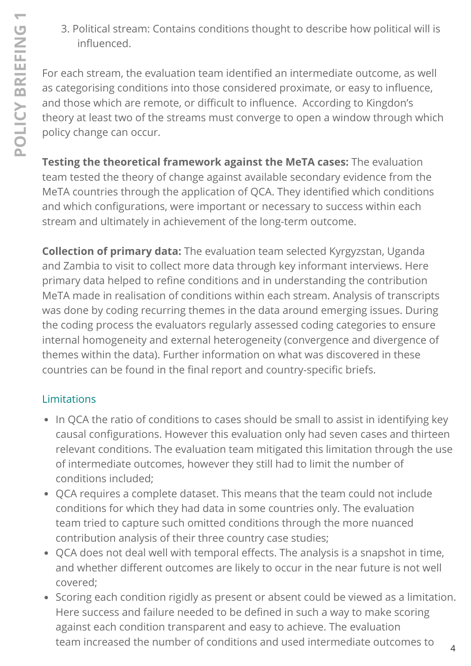3. Political stream: Contains conditions thought to describe how political will is influenced.

For each stream, the evaluation team identified an intermediate outcome, as well as categorising conditions into those considered proximate, or easy to influence, and those which are remote, or difficult to influence. According to Kingdon's theory at least two of the streams must converge to open a window through which policy change can occur.

**Testing the theoretical framework against the MeTA cases:** The evaluation team tested the theory of change against available secondary evidence from the MeTA countries through the application of QCA. They identified which conditions and which configurations, were important or necessary to success within each stream and ultimately in achievement of the long-term outcome.

**Collection of primary data:** The evaluation team selected Kyrgyzstan, Uganda and Zambia to visit to collect more data through key informant interviews. Here primary data helped to refine conditions and in understanding the contribution MeTA made in realisation of conditions within each stream. Analysis of transcripts was done by coding recurring themes in the data around emerging issues. During the coding process the evaluators regularly assessed coding categories to ensure internal homogeneity and external heterogeneity (convergence and divergence of themes within the data). Further information on what was discovered in these countries can be found in the final report and country-specific briefs.

## Limitations

- In QCA the ratio of conditions to cases should be small to assist in identifying key causal configurations. However this evaluation only had seven cases and thirteen relevant conditions. The evaluation team mitigated this limitation through the use of intermediate outcomes, however they still had to limit the number of conditions included;
- QCA requires a complete dataset. This means that the team could not include conditions for which they had data in some countries only. The evaluation team tried to capture such omitted conditions through the more nuanced contribution analysis of their three country case studies;
- QCA does not deal well with temporal effects. The analysis is a snapshot in time, and whether different outcomes are likely to occur in the near future is not well covered;
- Scoring each condition rigidly as present or absent could be viewed as a limitation. Here success and failure needed to be defined in such a way to make scoring against each condition transparent and easy to achieve. The evaluation team increased the number of conditions and used intermediate outcomes to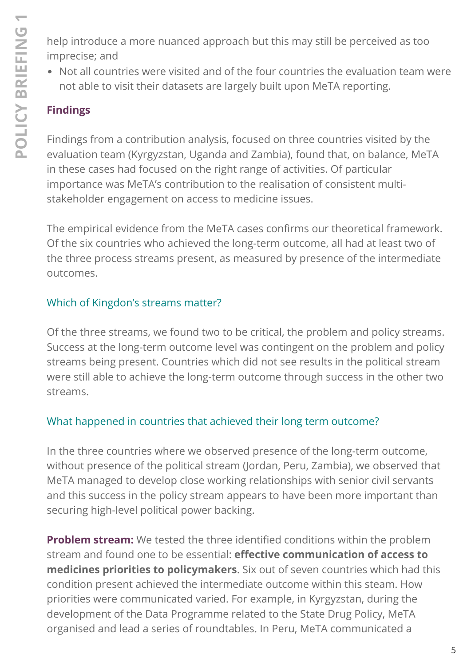help introduce a more nuanced approach but this may still be perceived as too imprecise; and

Not all countries were visited and of the four countries the evaluation team were not able to visit their datasets are largely built upon MeTA reporting.

## **Findings**

Findings from a contribution analysis, focused on three countries visited by the evaluation team (Kyrgyzstan, Uganda and Zambia), found that, on balance, MeTA in these cases had focused on the right range of activities. Of particular importance was MeTA's contribution to the realisation of consistent multistakeholder engagement on access to medicine issues.

The empirical evidence from the MeTA cases confirms our theoretical framework. Of the six countries who achieved the long-term outcome, all had at least two of the three process streams present, as measured by presence of the intermediate outcomes.

#### Which of Kingdon's streams matter?

Of the three streams, we found two to be critical, the problem and policy streams. Success at the long-term outcome level was contingent on the problem and policy streams being present. Countries which did not see results in the political stream were still able to achieve the long-term outcome through success in the other two streams.

#### What happened in countries that achieved their long term outcome?

In the three countries where we observed presence of the long-term outcome, without presence of the political stream (Jordan, Peru, Zambia), we observed that MeTA managed to develop close working relationships with senior civil servants and this success in the policy stream appears to have been more important than securing high-level political power backing.

**Problem stream:** We tested the three identified conditions within the problem stream and found one to be essential: **effective communication of access to medicines priorities to policymakers**. Six out of seven countries which had this condition present achieved the intermediate outcome within this steam. How priorities were communicated varied. For example, in Kyrgyzstan, during the development of the Data Programme related to the State Drug Policy, MeTA organised and lead a series of roundtables. In Peru, MeTA communicated a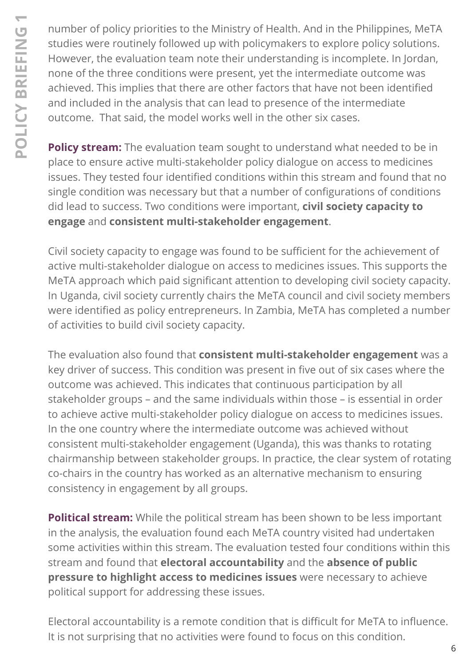number of policy priorities to the Ministry of Health. And in the Philippines, MeTA studies were routinely followed up with policymakers to explore policy solutions. However, the evaluation team note their understanding is incomplete. In Jordan, none of the three conditions were present, yet the intermediate outcome was achieved. This implies that there are other factors that have not been identified and included in the analysis that can lead to presence of the intermediate outcome. That said, the model works well in the other six cases.

**Policy stream:** The evaluation team sought to understand what needed to be in place to ensure active multi-stakeholder policy dialogue on access to medicines issues. They tested four identified conditions within this stream and found that no single condition was necessary but that a number of configurations of conditions did lead to success. Two conditions were important, **civil society capacity to engage** and **consistent multi-stakeholder engagement**.

Civil society capacity to engage was found to be sufficient for the achievement of active multi-stakeholder dialogue on access to medicines issues. This supports the MeTA approach which paid significant attention to developing civil society capacity. In Uganda, civil society currently chairs the MeTA council and civil society members were identified as policy entrepreneurs. In Zambia, MeTA has completed a number of activities to build civil society capacity.

The evaluation also found that **consistent multi-stakeholder engagement** was a key driver of success. This condition was present in five out of six cases where the outcome was achieved. This indicates that continuous participation by all stakeholder groups – and the same individuals within those – is essential in order to achieve active multi-stakeholder policy dialogue on access to medicines issues. In the one country where the intermediate outcome was achieved without consistent multi-stakeholder engagement (Uganda), this was thanks to rotating chairmanship between stakeholder groups. In practice, the clear system of rotating co-chairs in the country has worked as an alternative mechanism to ensuring consistency in engagement by all groups.

**Political stream:** While the political stream has been shown to be less important in the analysis, the evaluation found each MeTA country visited had undertaken some activities within this stream. The evaluation tested four conditions within this stream and found that **electoral accountability** and the **absence of public pressure to highlight access to medicines issues** were necessary to achieve political support for addressing these issues.

Electoral accountability is a remote condition that is difficult for MeTA to influence. It is not surprising that no activities were found to focus on this condition.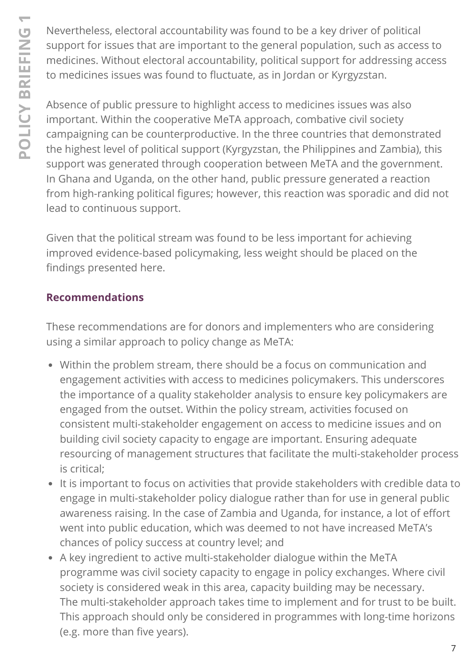Nevertheless, electoral accountability was found to be a key driver of political support for issues that are important to the general population, such as access to medicines. Without electoral accountability, political support for addressing access to medicines issues was found to fluctuate, as in Jordan or Kyrgyzstan.

Absence of public pressure to highlight access to medicines issues was also important. Within the cooperative MeTA approach, combative civil society campaigning can be counterproductive. In the three countries that demonstrated the highest level of political support (Kyrgyzstan, the Philippines and Zambia), this support was generated through cooperation between MeTA and the government. In Ghana and Uganda, on the other hand, public pressure generated a reaction from high-ranking political figures; however, this reaction was sporadic and did not lead to continuous support.

Given that the political stream was found to be less important for achieving improved evidence-based policymaking, less weight should be placed on the findings presented here.

#### **Recommendations**

These recommendations are for donors and implementers who are considering using a similar approach to policy change as MeTA:

- Within the problem stream, there should be a focus on communication and engagement activities with access to medicines policymakers. This underscores the importance of a quality stakeholder analysis to ensure key policymakers are engaged from the outset. Within the policy stream, activities focused on consistent multi-stakeholder engagement on access to medicine issues and on building civil society capacity to engage are important. Ensuring adequate resourcing of management structures that facilitate the multi-stakeholder process is critical;
- It is important to focus on activities that provide stakeholders with credible data to engage in multi-stakeholder policy dialogue rather than for use in general public awareness raising. In the case of Zambia and Uganda, for instance, a lot of effort went into public education, which was deemed to not have increased MeTA's chances of policy success at country level; and
- A key ingredient to active multi-stakeholder dialogue within the MeTA programme was civil society capacity to engage in policy exchanges. Where civil society is considered weak in this area, capacity building may be necessary. The multi-stakeholder approach takes time to implement and for trust to be built. This approach should only be considered in programmes with long-time horizons (e.g. more than five years).